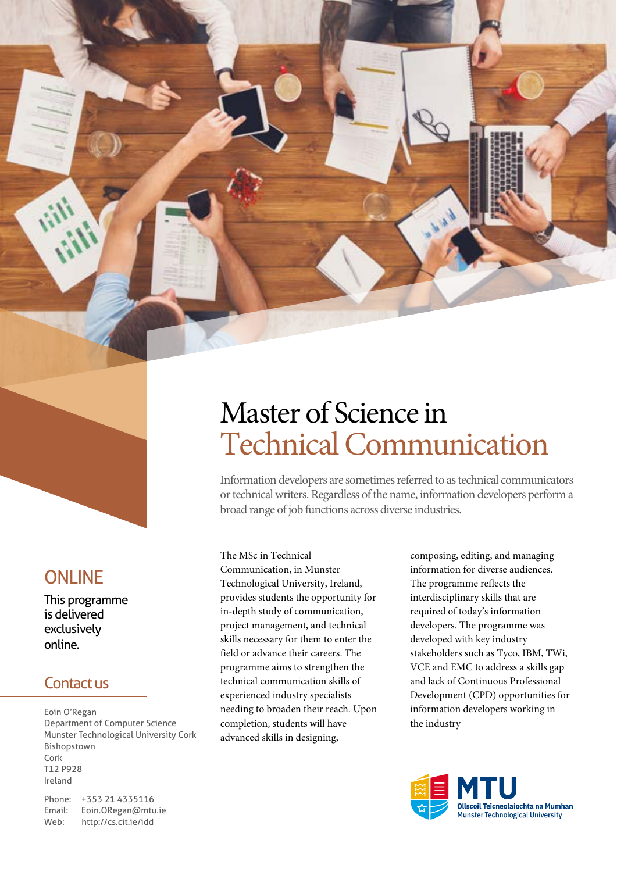## **ONLINE**

This programme is delivered exclusively online.

### Contact us

Eoin O'Regan Department of Computer Science Munster Technological University Cork Bishopstown Cork T12 P928 Ireland

Phone: +353 21 4335116 Email: Eoin.ORegan@mtu.ie<br>Web: http://cs.cit.ie/idd http://cs.cit.ie/idd

# Master of Science in Technical Communication

Information developers are sometimes referred to as technical communicators or technical writers. Regardless of the name, information developers perform a broad range of job functions across diverse industries.

The MSc in Technical Communication, in Munster Technological University, Ireland, provides students the opportunity for in-depth study of communication, project management, and technical skills necessary for them to enter the field or advance their careers. The programme aims to strengthen the technical communication skills of experienced industry specialists needing to broaden their reach. Upon completion, students will have advanced skills in designing,

composing, editing, and managing information for diverse audiences. The programme reflects the interdisciplinary skills that are required of today's information developers. The programme was developed with key industry stakeholders such as Tyco, IBM, TWi, VCE and EMC to address a skills gap and lack of Continuous Professional Development (CPD) opportunities for information developers working in the industry